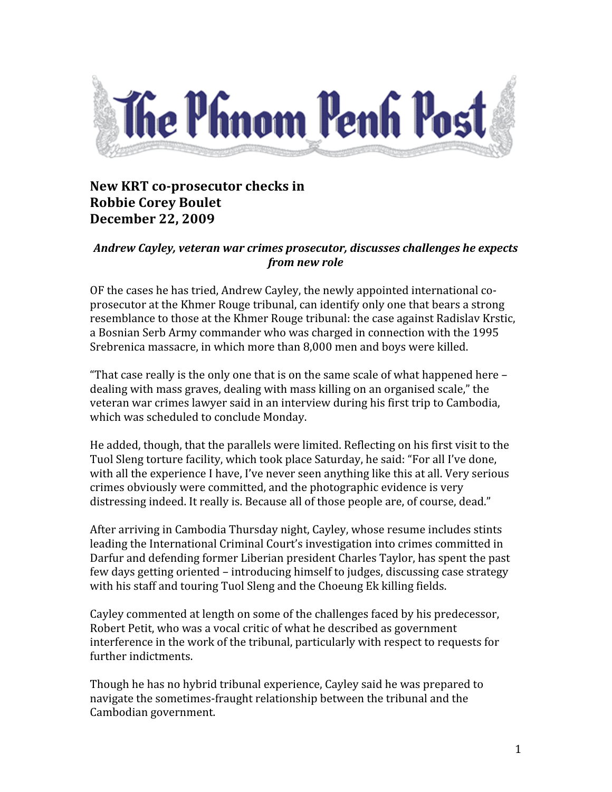

## **New KRT** co-prosecutor checks in **Robbie Corey Boulet December 22, 2009**

## *Andrew
Cayley,
veteran
war
crimes
prosecutor,
discusses
challenges
he
expects from
new
role*

OF
the
cases
he
has
tried,
Andrew
Cayley,
the
newly
appointed
international
co‐ prosecutor
at
the
Khmer
Rouge
tribunal,
can
identify
only
one
that
bears
a
strong resemblance to those at the Khmer Rouge tribunal: the case against Radislav Krstic, a Bosnian Serb Army commander who was charged in connection with the 1995 Srebrenica
massacre,
in
which
more
than
8,000
men
and
boys
were
killed.

"That case really is the only one that is on the same scale of what happened here dealing
with
mass
graves,
dealing
with
mass
killing
on
an
organised
scale,"
the veteran
war
crimes
lawyer
said
in
an
interview
during
his
first
trip
to
Cambodia, which
was
scheduled
to
conclude
Monday.

He added, though, that the parallels were limited. Reflecting on his first visit to the Tuol
Sleng
torture
facility,
which
took
place
Saturday,
he
said:
"For
all
I've
done, with all the experience I have, I've never seen anything like this at all. Very serious crimes
obviously
were
committed,
and
the
photographic
evidence
is
very distressing indeed. It really is, Because all of those people are, of course, dead."

After
arriving
in
Cambodia
Thursday
night,
Cayley,
whose
resume
includes
stints leading the International Criminal Court's investigation into crimes committed in Darfur
and
defending
former
Liberian
president
Charles
Taylor,
has
spent
the
past few
days
getting
oriented
–
introducing
himself
to
judges,
discussing
case
strategy with his staff and touring Tuol Sleng and the Choeung Ek killing fields.

Cayley commented at length on some of the challenges faced by his predecessor, Robert Petit, who was a vocal critic of what he described as government interference in the work of the tribunal, particularly with respect to requests for further
indictments.

Though
he
has
no
hybrid
tribunal
experience,
Cayley
said
he
was
prepared
to navigate
the
sometimes‐fraught
relationship
between
the
tribunal
and
the Cambodian
government.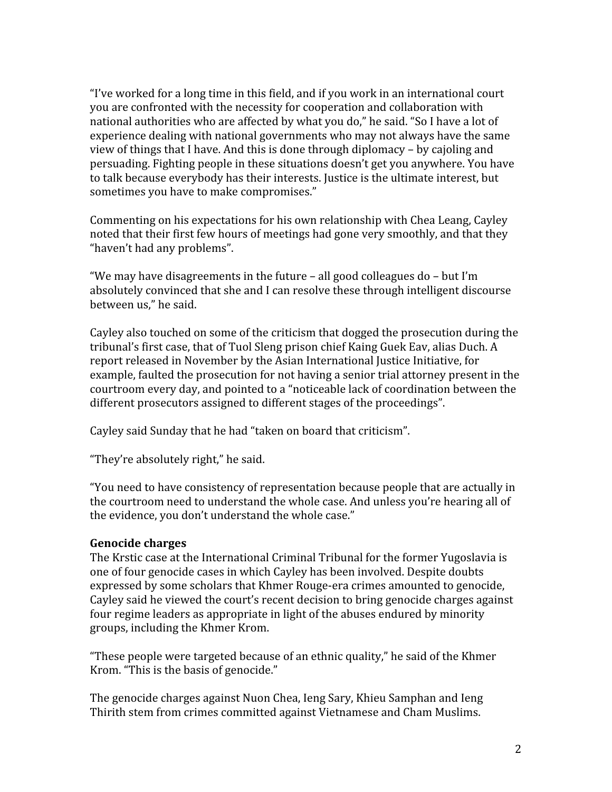"I've worked for a long time in this field, and if you work in an international court you
are
confronted
with
the
necessity
for
cooperation
and
collaboration
with national authorities who are affected by what you do," he said. "So I have a lot of experience
dealing
with
national
governments
who
may
not
always
have
the
same view
of
things
that
I
have.
And
this
is
done
through
diplomacy
–
by
cajoling
and persuading. Fighting people in these situations doesn't get you anywhere. You have to talk because everybody has their interests. Justice is the ultimate interest, but sometimes
you
have
to
make
compromises."

Commenting
on
his
expectations
for
his
own
relationship
with
Chea
Leang,
Cayley noted
that
their
first
few
hours
of
meetings
had
gone
very
smoothly,
and
that
they "haven't
had
any
problems".

"We may have disagreements in the future  $-$  all good colleagues do  $-$  but I'm absolutely convinced that she and I can resolve these through intelligent discourse between
us,"
he
said.

Cayley also touched on some of the criticism that dogged the prosecution during the tribunal's
first
case,
that
of
Tuol
Sleng
prison
chief
Kaing
Guek
Eav,
alias
Duch.
A report
released
in
November
by
the
Asian
International
Justice
Initiative,
for example,
faulted
the
prosecution
for
not
having
a
senior
trial
attorney
present
in
the courtroom
every
day,
and
pointed
to
a
"noticeable
lack
of
coordination
between
the different prosecutors assigned to different stages of the proceedings".

Cayley
said
Sunday
that
he
had
"taken
on
board
that
criticism".

"They're
absolutely
right,"
he
said.

"You
need
to
have
consistency
of
representation
because
people
that
are
actually
in the courtroom need to understand the whole case. And unless vou're hearing all of the
evidence,
you
don't
understand
the
whole
case."

## **Genocide
charges**

The Krstic case at the International Criminal Tribunal for the former Yugoslavia is one
of
four
genocide
cases
in
which
Cayley
has
been
involved.
Despite
doubts expressed
by
some
scholars
that
Khmer
Rouge‐era
crimes
amounted
to
genocide, Cayley said he viewed the court's recent decision to bring genocide charges against four regime leaders as appropriate in light of the abuses endured by minority groups,
including
the
Khmer
Krom.

"These
people
were
targeted
because
of
an
ethnic
quality,"
he
said
of
the
Khmer Krom.
"This
is
the
basis
of
genocide."

The
genocide
charges
against
Nuon
Chea,
Ieng
Sary,
Khieu
Samphan
and
Ieng Thirith
stem
from
crimes
committed
against
Vietnamese
and
Cham
Muslims.